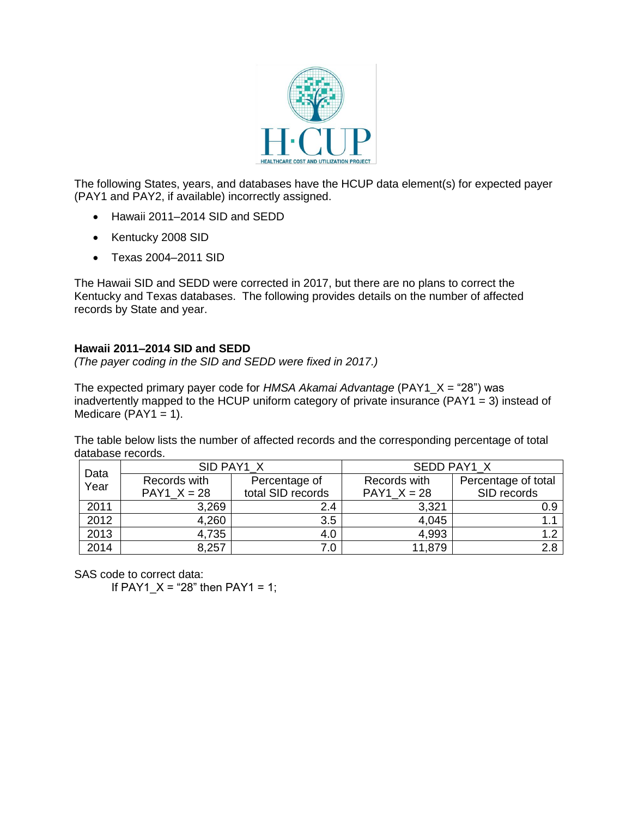

The following States, years, and databases have the HCUP data element(s) for expected payer (PAY1 and PAY2, if available) incorrectly assigned.

- Hawaii 2011–2014 SID and SEDD
- Kentucky 2008 SID
- Texas 2004-2011 SID

The Hawaii SID and SEDD were corrected in 2017, but there are no plans to correct the Kentucky and Texas databases. The following provides details on the number of affected records by State and year.

## **Hawaii 2011–2014 SID and SEDD**

*(The payer coding in the SID and SEDD were fixed in 2017.)*

The expected primary payer code for *HMSA Akamai Advantage* (PAY1\_X = "28") was inadvertently mapped to the HCUP uniform category of private insurance (PAY1 = 3) instead of Medicare  $(PAY1 = 1)$ .

The table below lists the number of affected records and the corresponding percentage of total database records.

| Data | SID PAY1 X    |                   | SEDD PAY1 X   |                     |
|------|---------------|-------------------|---------------|---------------------|
| Year | Records with  | Percentage of     | Records with  | Percentage of total |
|      | PAY1 $X = 28$ | total SID records | PAY1 $X = 28$ | SID records         |
| 2011 | 3,269         | 2.4               | 3,321         | 0.9                 |
| 2012 | 4,260         | 3.5               | 4,045         |                     |
| 2013 | 4,735         | 4.0               | 4,993         | 1.2                 |
| 2014 | 8,257         | 7.0               | 11,879        | 2.8                 |

SAS code to correct data:

If PAY1  $X = 28$ " then PAY1 = 1;